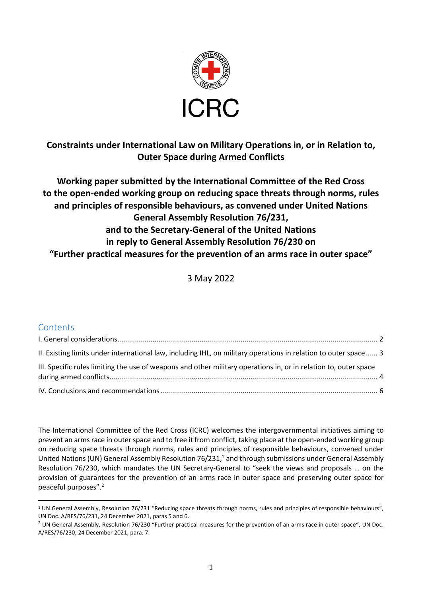

# **Constraints under International Law on Military Operations in, or in Relation to, Outer Space during Armed Conflicts**

**Working paper submitted by the International Committee of the Red Cross to the open-ended working group on reducing space threats through norms, rules and principles of responsible behaviours, as convened under United Nations General Assembly Resolution 76/231, and to the Secretary-General of the United Nations in reply to General Assembly Resolution 76/230 on "Further practical measures for the prevention of an arms race in outer space"**

3 May 2022

### **Contents**

| II. Existing limits under international law, including IHL, on military operations in relation to outer space 3  |  |
|------------------------------------------------------------------------------------------------------------------|--|
| III. Specific rules limiting the use of weapons and other military operations in, or in relation to, outer space |  |
|                                                                                                                  |  |

The International Committee of the Red Cross (ICRC) welcomes the intergovernmental initiatives aiming to prevent an arms race in outer space and to free it from conflict, taking place at the open-ended working group on reducing space threats through norms, rules and principles of responsible behaviours, convened under United Nations (UN) General Assembly Resolution 76/231, <sup>1</sup> and through submissions under General Assembly Resolution 76/230, which mandates the UN Secretary-General to "seek the views and proposals … on the provision of guarantees for the prevention of an arms race in outer space and preserving outer space for peaceful purposes". 2

 $1$  UN General Assembly, Resolution 76/231 "Reducing space threats through norms, rules and principles of responsible behaviours", UN Doc. A/RES/76/231, 24 December 2021, paras 5 and 6.

<sup>&</sup>lt;sup>2</sup> UN General Assembly, Resolution 76/230 "Further practical measures for the prevention of an arms race in outer space", UN Doc. A/RES/76/230, 24 December 2021, para. 7.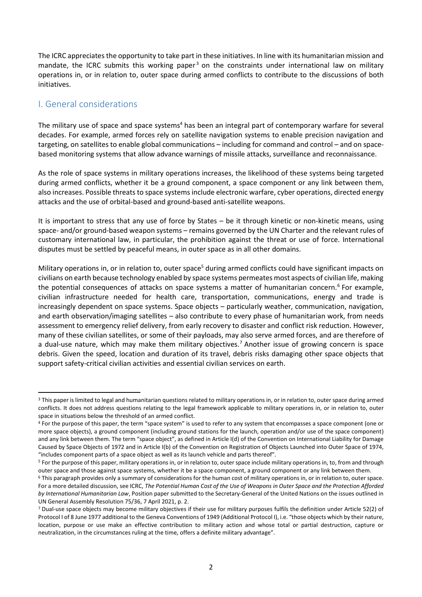The ICRC appreciates the opportunity to take part in these initiatives. In line with its humanitarian mission and mandate, the ICRC submits this working paper<sup>3</sup> on the constraints under international law on military operations in, or in relation to, outer space during armed conflicts to contribute to the discussions of both initiatives.

#### <span id="page-1-0"></span>I. General considerations

The military use of space and space systems<sup>4</sup> has been an integral part of contemporary warfare for several decades. For example, armed forces rely on satellite navigation systems to enable precision navigation and targeting, on satellites to enable global communications – including for command and control – and on spacebased monitoring systems that allow advance warnings of missile attacks, surveillance and reconnaissance.

As the role of space systems in military operations increases, the likelihood of these systems being targeted during armed conflicts, whether it be a ground component, a space component or any link between them, also increases. Possible threats to space systems include electronic warfare, cyber operations, directed energy attacks and the use of orbital-based and ground-based anti-satellite weapons.

It is important to stress that any use of force by States – be it through kinetic or non-kinetic means, using space- and/or ground-based weapon systems – remains governed by the UN Charter and the relevant rules of customary international law, in particular, the prohibition against the threat or use of force. International disputes must be settled by peaceful means, in outer space as in all other domains.

Military operations in, or in relation to, outer space<sup>5</sup> during armed conflicts could have significant impacts on civilians on earth because technology enabled by space systems permeates most aspects of civilian life, making the potential consequences of attacks on space systems a matter of humanitarian concern.<sup>6</sup> For example, civilian infrastructure needed for health care, transportation, communications, energy and trade is increasingly dependent on space systems. Space objects – particularly weather, communication, navigation, and earth observation/imaging satellites – also contribute to every phase of humanitarian work, from needs assessment to emergency relief delivery, from early recovery to disaster and conflict risk reduction. However, many of these civilian satellites, or some of their payloads, may also serve armed forces, and are therefore of a dual-use nature, which may make them military objectives.<sup>7</sup> Another issue of growing concern is space debris. Given the speed, location and duration of its travel, debris risks damaging other space objects that support safety-critical civilian activities and essential civilian services on earth.

<sup>&</sup>lt;sup>3</sup> This paper is limited to legal and humanitarian questions related to military operations in, or in relation to, outer space during armed conflicts. It does not address questions relating to the legal framework applicable to military operations in, or in relation to, outer space in situations below the threshold of an armed conflict.

<sup>4</sup> For the purpose of this paper, the term "space system" is used to refer to any system that encompasses a space component (one or more space objects), a ground component (including ground stations for the launch, operation and/or use of the space component) and any link between them. The term "space object", as defined in Article I(d) of the Convention on International Liability for Damage Caused by Space Objects of 1972 and in Article I(b) of the Convention on Registration of Objects Launched into Outer Space of 1974, "includes component parts of a space object as well as its launch vehicle and parts thereof".

<sup>5</sup> For the purpose of this paper, military operations in, or in relation to, outer space include military operations in, to, from and through outer space and those against space systems, whether it be a space component, a ground component or any link between them.

<sup>&</sup>lt;sup>6</sup> This paragraph provides only a summary of considerations for the human cost of military operations in, or in relation to, outer space. For a more detailed discussion, see ICRC, *The Potential Human Cost of the Use of Weapons in Outer Space and the Protection Afforded by International Humanitarian Law*, Position paper submitted to the Secretary-General of the United Nations on the issues outlined in UN General Assembly Resolution 75/36, 7 April 2021, p. 2.

 $<sup>7</sup>$  Dual-use space objects may become military objectives if their use for military purposes fulfils the definition under Article 52(2) of</sup> Protocol I of 8 June 1977 additional to the Geneva Conventions of 1949 (Additional Protocol I), i.e. "those objects which by their nature, location, purpose or use make an effective contribution to military action and whose total or partial destruction, capture or neutralization, in the circumstances ruling at the time, offers a definite military advantage".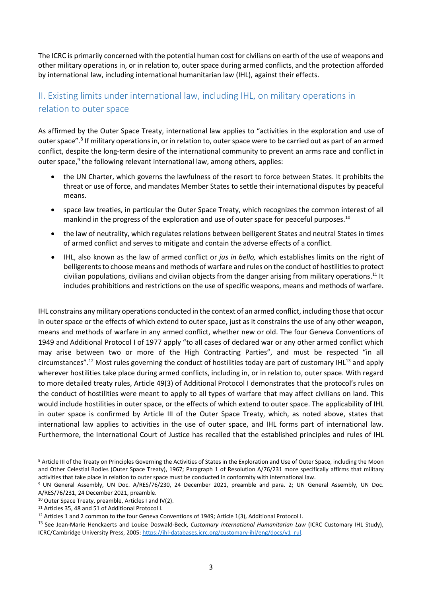The ICRC is primarily concerned with the potential human cost for civilians on earth of the use of weapons and other military operations in, or in relation to, outer space during armed conflicts, and the protection afforded by international law, including international humanitarian law (IHL), against their effects.

# <span id="page-2-0"></span>II. Existing limits under international law, including IHL, on military operations in relation to outer space

As affirmed by the Outer Space Treaty, international law applies to "activities in the exploration and use of outer space".<sup>8</sup> If military operations in, or in relation to, outer space were to be carried out as part of an armed conflict, despite the long-term desire of the international community to prevent an arms race and conflict in outer space,<sup>9</sup> the following relevant international law, among others, applies:

- the UN Charter, which governs the lawfulness of the resort to force between States. It prohibits the threat or use of force, and mandates Member States to settle their international disputes by peaceful means.
- space law treaties, in particular the Outer Space Treaty, which recognizes the common interest of all mankind in the progress of the exploration and use of outer space for peaceful purposes.<sup>10</sup>
- the law of neutrality, which regulates relations between belligerent States and neutral States in times of armed conflict and serves to mitigate and contain the adverse effects of a conflict.
- IHL, also known as the law of armed conflict or *jus in bello,* which establishes limits on the right of belligerents to choose means and methods of warfare and rules on the conduct of hostilities to protect civilian populations, civilians and civilian objects from the danger arising from military operations.<sup>11</sup> It includes prohibitions and restrictions on the use of specific weapons, means and methods of warfare.

IHL constrains any military operations conducted in the context of an armed conflict, including those that occur in outer space or the effects of which extend to outer space, just as it constrains the use of any other weapon, means and methods of warfare in any armed conflict, whether new or old. The four Geneva Conventions of 1949 and Additional Protocol I of 1977 apply "to all cases of declared war or any other armed conflict which may arise between two or more of the High Contracting Parties", and must be respected "in all circumstances".<sup>12</sup> Most rules governing the conduct of hostilities today are part of customary IHL<sup>13</sup> and apply wherever hostilities take place during armed conflicts, including in, or in relation to, outer space. With regard to more detailed treaty rules, Article 49(3) of Additional Protocol I demonstrates that the protocol's rules on the conduct of hostilities were meant to apply to all types of warfare that may affect civilians on land. This would include hostilities in outer space, or the effects of which extend to outer space. The applicability of IHL in outer space is confirmed by Article III of the Outer Space Treaty, which, as noted above, states that international law applies to activities in the use of outer space, and IHL forms part of international law. Furthermore, the International Court of Justice has recalled that the established principles and rules of IHL

<sup>8</sup> Article III of the Treaty on Principles Governing the Activities of States in the Exploration and Use of Outer Space, including the Moon and Other Celestial Bodies (Outer Space Treaty), 1967; Paragraph 1 of Resolution A/76/231 more specifically affirms that military activities that take place in relation to outer space must be conducted in conformity with international law.

<sup>9</sup> UN General Assembly, UN Doc. A/RES/76/230, 24 December 2021, preamble and para. 2; UN General Assembly, UN Doc. A/RES/76/231, 24 December 2021, preamble.

<sup>10</sup> Outer Space Treaty, preamble, Articles I and IV(2).

<sup>11</sup> Articles 35, 48 and 51 of Additional Protocol I.

<sup>12</sup> Articles 1 and 2 common to the four Geneva Conventions of 1949; Article 1(3), Additional Protocol I.

<sup>13</sup> See Jean-Marie Henckaerts and Louise Doswald-Beck, *Customary International Humanitarian Law* (ICRC Customary IHL Study), ICRC/Cambridge University Press, 2005[: https://ihl-databases.icrc.org/customary-ihl/eng/docs/v1\\_rul.](https://ihl-databases.icrc.org/customary-ihl/eng/docs/v1_rul)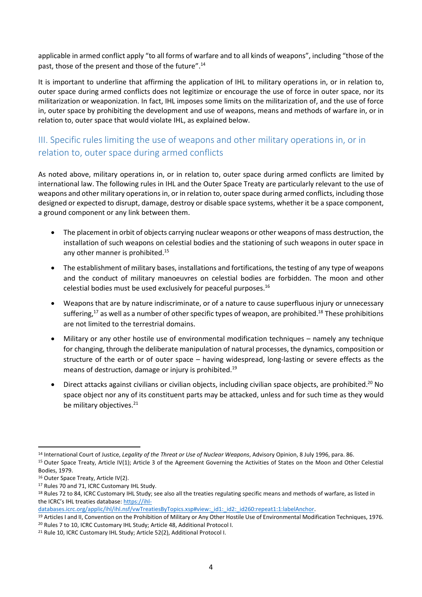applicable in armed conflict apply "to all forms of warfare and to all kinds of weapons", including "those of the past, those of the present and those of the future".<sup>14</sup>

It is important to underline that affirming the application of IHL to military operations in, or in relation to, outer space during armed conflicts does not legitimize or encourage the use of force in outer space, nor its militarization or weaponization. In fact, IHL imposes some limits on the militarization of, and the use of force in, outer space by prohibiting the development and use of weapons, means and methods of warfare in, or in relation to, outer space that would violate IHL, as explained below.

# <span id="page-3-0"></span>III. Specific rules limiting the use of weapons and other military operations in, or in relation to, outer space during armed conflicts

As noted above, military operations in, or in relation to, outer space during armed conflicts are limited by international law. The following rules in IHL and the Outer Space Treaty are particularly relevant to the use of weapons and other military operationsin, or in relation to, outer space during armed conflicts, including those designed or expected to disrupt, damage, destroy or disable space systems, whether it be a space component, a ground component or any link between them.

- The placement in orbit of objects carrying nuclear weapons or other weapons of mass destruction, the installation of such weapons on celestial bodies and the stationing of such weapons in outer space in any other manner is prohibited.<sup>15</sup>
- The establishment of military bases, installations and fortifications, the testing of any type of weapons and the conduct of military manoeuvres on celestial bodies are forbidden. The moon and other celestial bodies must be used exclusively for peaceful purposes.<sup>16</sup>
- Weapons that are by nature indiscriminate, or of a nature to cause superfluous injury or unnecessary suffering,<sup>17</sup> as well as a number of other specific types of weapon, are prohibited.<sup>18</sup> These prohibitions are not limited to the terrestrial domains.
- Military or any other hostile use of environmental modification techniques namely any technique for changing, through the deliberate manipulation of natural processes, the dynamics, composition or structure of the earth or of outer space – having widespread, long-lasting or severe effects as the means of destruction, damage or injury is prohibited.<sup>19</sup>
- Direct attacks against civilians or civilian objects, including civilian space objects, are prohibited.<sup>20</sup> No space object nor any of its constituent parts may be attacked, unless and for such time as they would be military objectives.<sup>21</sup>

<sup>14</sup> International Court of Justice, *Legality of the Threat or Use of Nuclear Weapons*, Advisory Opinion, 8 July 1996, para. 86.

<sup>&</sup>lt;sup>15</sup> Outer Space Treaty, Article IV(1); Article 3 of the Agreement Governing the Activities of States on the Moon and Other Celestial Bodies, 1979.

<sup>&</sup>lt;sup>16</sup> Outer Space Treaty, Article IV(2).

<sup>17</sup> Rules 70 and 71, ICRC Customary IHL Study.

<sup>18</sup> Rules 72 to 84, ICRC Customary IHL Study; see also all the treaties regulating specific means and methods of warfare, as listed in the ICRC's IHL treaties database[: https://ihl-](https://ihl-databases.icrc.org/applic/ihl/ihl.nsf/vwTreatiesByTopics.xsp#view:_id1:_id2:_id260:repeat1:1:labelAnchor)

databases.icrc.org/applic/ihl/ihl.nsf/vwTreatiesByTopics.xsp#view:\_id1:\_id2:\_id260:repeat1:1:labelAnchor.

<sup>19</sup> Articles I and II, Convention on the Prohibition of Military or Any Other Hostile Use of Environmental Modification Techniques, 1976. <sup>20</sup> Rules 7 to 10, ICRC Customary IHL Study; Article 48, Additional Protocol I.

<sup>&</sup>lt;sup>21</sup> Rule 10, ICRC Customary IHL Study; Article 52(2), Additional Protocol I.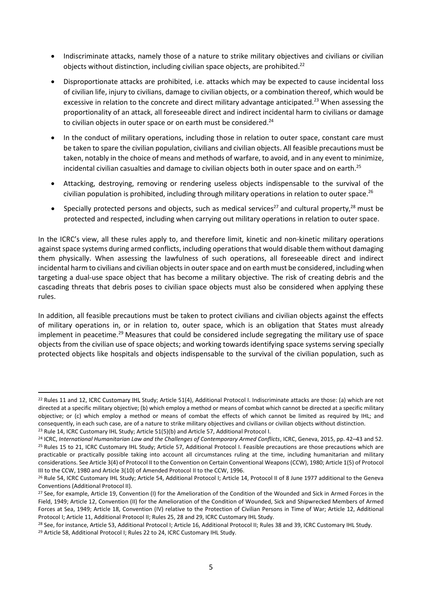- Indiscriminate attacks, namely those of a nature to strike military objectives and civilians or civilian objects without distinction, including civilian space objects, are prohibited.<sup>22</sup>
- Disproportionate attacks are prohibited, i.e. attacks which may be expected to cause incidental loss of civilian life, injury to civilians, damage to civilian objects, or a combination thereof, which would be excessive in relation to the concrete and direct military advantage anticipated.<sup>23</sup> When assessing the proportionality of an attack, all foreseeable direct and indirect incidental harm to civilians or damage to civilian objects in outer space or on earth must be considered.<sup>24</sup>
- In the conduct of military operations, including those in relation to outer space, constant care must be taken to spare the civilian population, civilians and civilian objects. All feasible precautions must be taken, notably in the choice of means and methods of warfare, to avoid, and in any event to minimize, incidental civilian casualties and damage to civilian objects both in outer space and on earth.<sup>25</sup>
- Attacking, destroying, removing or rendering useless objects indispensable to the survival of the civilian population is prohibited, including through military operations in relation to outer space.<sup>26</sup>
- <span id="page-4-0"></span>• Specially protected persons and objects, such as medical services<sup>27</sup> and cultural property,<sup>28</sup> must be protected and respected, including when carrying out military operations in relation to outer space.

In the ICRC's view, all these rules apply to, and therefore limit, kinetic and non-kinetic military operations against space systems during armed conflicts, including operations that would disable them without damaging them physically. When assessing the lawfulness of such operations, all foreseeable direct and indirect incidental harm to civilians and civilian objects in outer space and on earth must be considered, including when targeting a dual-use space object that has become a military objective. The risk of creating debris and the cascading threats that debris poses to civilian space objects must also be considered when applying these rules.

In addition, all feasible precautions must be taken to protect civilians and civilian objects against the effects of military operations in, or in relation to, outer space, which is an obligation that States must already implement in peacetime.<sup>29</sup> Measures that could be considered include segregating the military use of space objects from the civilian use of space objects; and working towards identifying space systems serving specially protected objects like hospitals and objects indispensable to the survival of the civilian population, such as

<sup>&</sup>lt;sup>22</sup> Rules 11 and 12, ICRC Customary IHL Study; Article 51(4), Additional Protocol I. Indiscriminate attacks are those: (a) which are not directed at a specific military objective; (b) which employ a method or means of combat which cannot be directed at a specific military objective; or (c) which employ a method or means of combat the effects of which cannot be limited as required by IHL; and consequently, in each such case, are of a nature to strike military objectives and civilians or civilian objects without distinction. <sup>23</sup> Rule 14, ICRC Customary IHL Study; Article 51(5)(b) and Article 57, Additional Protocol I.

<sup>24</sup> ICRC, *International Humanitarian Law and the Challenges of Contemporary Armed Conflicts*, ICRC, Geneva, 2015, pp. 42–43 and 52. <sup>25</sup> Rules 15 to 21, ICRC Customary IHL Study; Article 57, Additional Protocol I. Feasible precautions are those precautions which are practicable or practically possible taking into account all circumstances ruling at the time, including humanitarian and military considerations. See Article 3(4) of Protocol II to the Convention on Certain Conventional Weapons (CCW), 1980; Article 1(5) of Protocol III to the CCW, 1980 and Article 3(10) of Amended Protocol II to the CCW, 1996.

<sup>&</sup>lt;sup>26</sup> Rule 54, ICRC Customary IHL Study; Article 54, Additional Protocol I; Article 14, Protocol II of 8 June 1977 additional to the Geneva Conventions (Additional Protocol II).

<sup>&</sup>lt;sup>27</sup> See, for example, Article 19, Convention (I) for the Amelioration of the Condition of the Wounded and Sick in Armed Forces in the Field, 1949; Article 12, Convention (II) for the Amelioration of the Condition of Wounded, Sick and Shipwrecked Members of Armed Forces at Sea, 1949; Article 18, Convention (IV) relative to the Protection of Civilian Persons in Time of War; Article 12, Additional Protocol I; Article 11, Additional Protocol II; Rules 25, 28 and 29, ICRC Customary IHL Study.

<sup>&</sup>lt;sup>28</sup> See, for instance, Article 53, Additional Protocol I; Article 16, Additional Protocol II; Rules 38 and 39, ICRC Customary IHL Study.

<sup>&</sup>lt;sup>29</sup> Article 58, Additional Protocol I; Rules 22 to 24, ICRC Customary IHL Study.